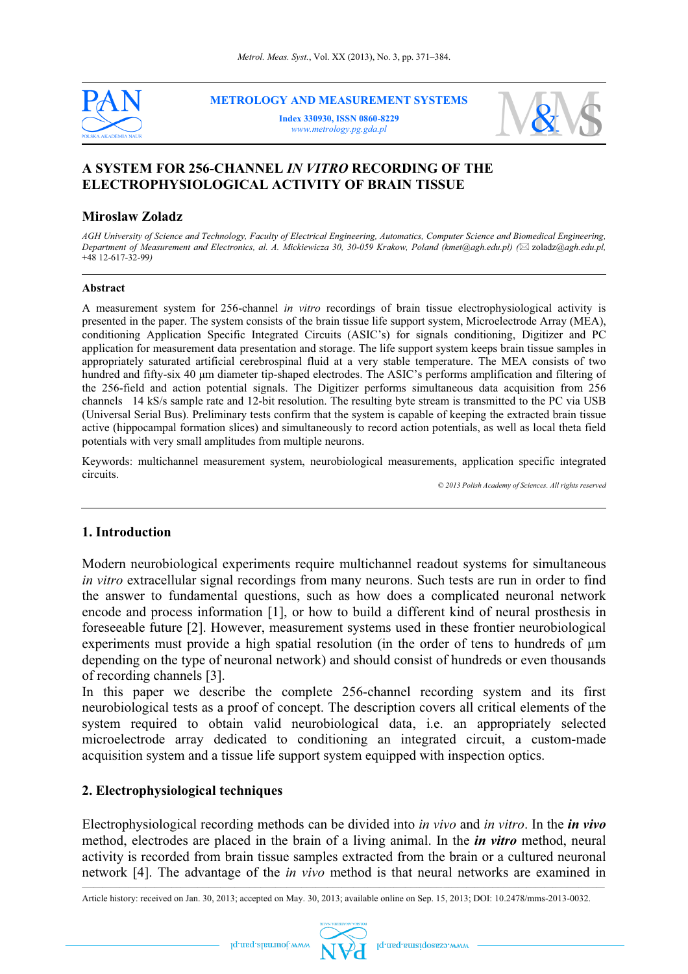

**METROLOGY AND MEASUREMENT SYSTEMS** 

**Index 330930, ISSN 0860-8229**  *www.metrology.pg.gda.pl*



# **A SYSTEM FOR 256-CHANNEL** *IN VITRO* **RECORDING OF THE ELECTROPHYSIOLOGICAL ACTIVITY OF BRAIN TISSUE**

#### **Miroslaw Zoladz**

*AGH University of Science and Technology, Faculty of Electrical Engineering, Automatics, Computer Science and Biomedical Engineering, Department of Measurement and Electronics, al. A. Mickiewicza 30, 30-059 Krakow, Poland (kmet@agh.edu.pl) (*\* zoladz*@agh.edu.pl,*  +48 12-617-32-99*)*

#### **Abstract**

A measurement system for 256-channel *in vitro* recordings of brain tissue electrophysiological activity is presented in the paper. The system consists of the brain tissue life support system, Microelectrode Array (MEA), conditioning Application Specific Integrated Circuits (ASIC's) for signals conditioning, Digitizer and PC application for measurement data presentation and storage. The life support system keeps brain tissue samples in appropriately saturated artificial cerebrospinal fluid at a very stable temperature. The MEA consists of two hundred and fifty-six 40 μm diameter tip-shaped electrodes. The ASIC's performs amplification and filtering of the 256-field and action potential signals. The Digitizer performs simultaneous data acquisition from 256 channels 14 kS/s sample rate and 12-bit resolution. The resulting byte stream is transmitted to the PC via USB (Universal Serial Bus). Preliminary tests confirm that the system is capable of keeping the extracted brain tissue active (hippocampal formation slices) and simultaneously to record action potentials, as well as local theta field potentials with very small amplitudes from multiple neurons.

Keywords: multichannel measurement system, neurobiological measurements, application specific integrated circuits.

*© 2013 Polish Academy of Sciences. All rights reserved* 

#### **1. Introduction**

Modern neurobiological experiments require multichannel readout systems for simultaneous *in vitro* extracellular signal recordings from many neurons. Such tests are run in order to find the answer to fundamental questions, such as how does a complicated neuronal network encode and process information [1], or how to build a different kind of neural prosthesis in foreseeable future [2]. However, measurement systems used in these frontier neurobiological experiments must provide a high spatial resolution (in the order of tens to hundreds of  $\mu$ m depending on the type of neuronal network) and should consist of hundreds or even thousands of recording channels [3].

In this paper we describe the complete 256-channel recording system and its first neurobiological tests as a proof of concept. The description covers all critical elements of the system required to obtain valid neurobiological data, i.e. an appropriately selected microelectrode array dedicated to conditioning an integrated circuit, a custom-made acquisition system and a tissue life support system equipped with inspection optics.

#### **2. Electrophysiological techniques**

Electrophysiological recording methods can be divided into *in vivo* and *in vitro*. In the *in vivo* method, electrodes are placed in the brain of a living animal. In the *in vitro* method, neural activity is recorded from brain tissue samples extracted from the brain or a cultured neuronal network [4]. The advantage of the *in vivo* method is that neural networks are examined in

Article history: received on Jan. 30, 2013; accepted on May. 30, 2013; available online on Sep. 15, 2013; DOI: 10.2478/mms-2013-0032.



Iq.msq.zlsnruuot.ww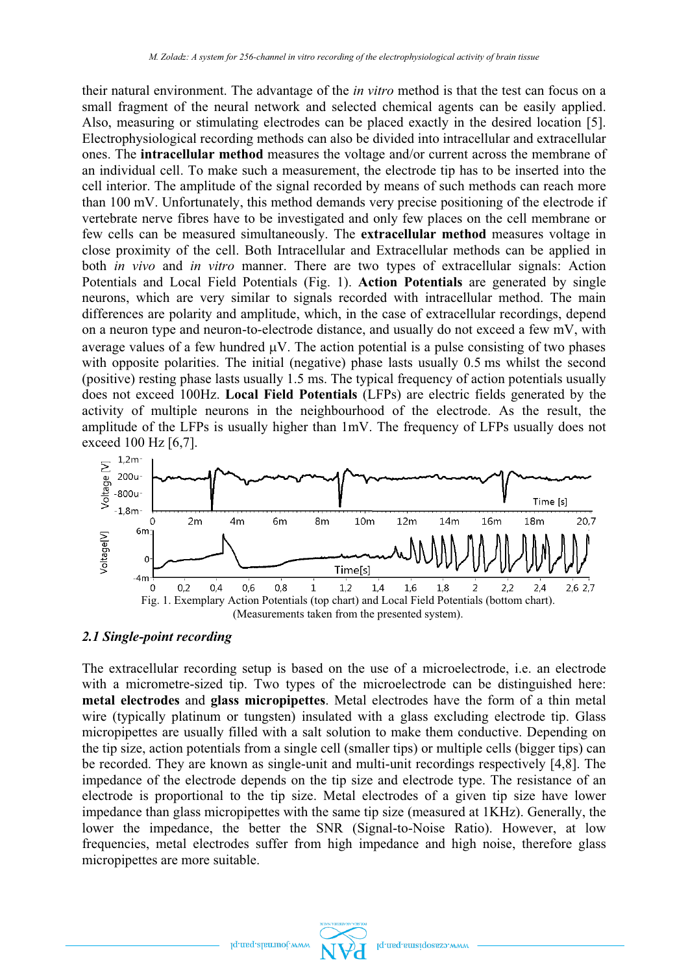their natural environment. The advantage of the *in vitro* method is that the test can focus on a small fragment of the neural network and selected chemical agents can be easily applied. Also, measuring or stimulating electrodes can be placed exactly in the desired location [5]. Electrophysiological recording methods can also be divided into intracellular and extracellular ones. The **intracellular method** measures the voltage and/or current across the membrane of an individual cell. To make such a measurement, the electrode tip has to be inserted into the cell interior. The amplitude of the signal recorded by means of such methods can reach more than 100 mV. Unfortunately, this method demands very precise positioning of the electrode if vertebrate nerve fibres have to be investigated and only few places on the cell membrane or few cells can be measured simultaneously. The **extracellular method** measures voltage in close proximity of the cell. Both Intracellular and Extracellular methods can be applied in both *in vivo* and *in vitro* manner. There are two types of extracellular signals: Action Potentials and Local Field Potentials (Fig. 1). **Action Potentials** are generated by single neurons, which are very similar to signals recorded with intracellular method. The main differences are polarity and amplitude, which, in the case of extracellular recordings, depend on a neuron type and neuron-to-electrode distance, and usually do not exceed a few mV, with average values of a few hundred  $\mu$ V. The action potential is a pulse consisting of two phases with opposite polarities. The initial (negative) phase lasts usually 0.5 ms whilst the second (positive) resting phase lasts usually 1.5 ms. The typical frequency of action potentials usually does not exceed 100Hz. **Local Field Potentials** (LFPs) are electric fields generated by the activity of multiple neurons in the neighbourhood of the electrode. As the result, the amplitude of the LFPs is usually higher than 1mV. The frequency of LFPs usually does not exceed 100 Hz [6,7].



#### *2.1 Single-point recording*

The extracellular recording setup is based on the use of a microelectrode, i.e. an electrode with a micrometre-sized tip. Two types of the microelectrode can be distinguished here: **metal electrodes** and **glass micropipettes**. Metal electrodes have the form of a thin metal wire (typically platinum or tungsten) insulated with a glass excluding electrode tip. Glass micropipettes are usually filled with a salt solution to make them conductive. Depending on the tip size, action potentials from a single cell (smaller tips) or multiple cells (bigger tips) can be recorded. They are known as single-unit and multi-unit recordings respectively [4,8]. The impedance of the electrode depends on the tip size and electrode type. The resistance of an electrode is proportional to the tip size. Metal electrodes of a given tip size have lower impedance than glass micropipettes with the same tip size (measured at 1KHz). Generally, the lower the impedance, the better the SNR (Signal-to-Noise Ratio). However, at low frequencies, metal electrodes suffer from high impedance and high noise, therefore glass micropipettes are more suitable.

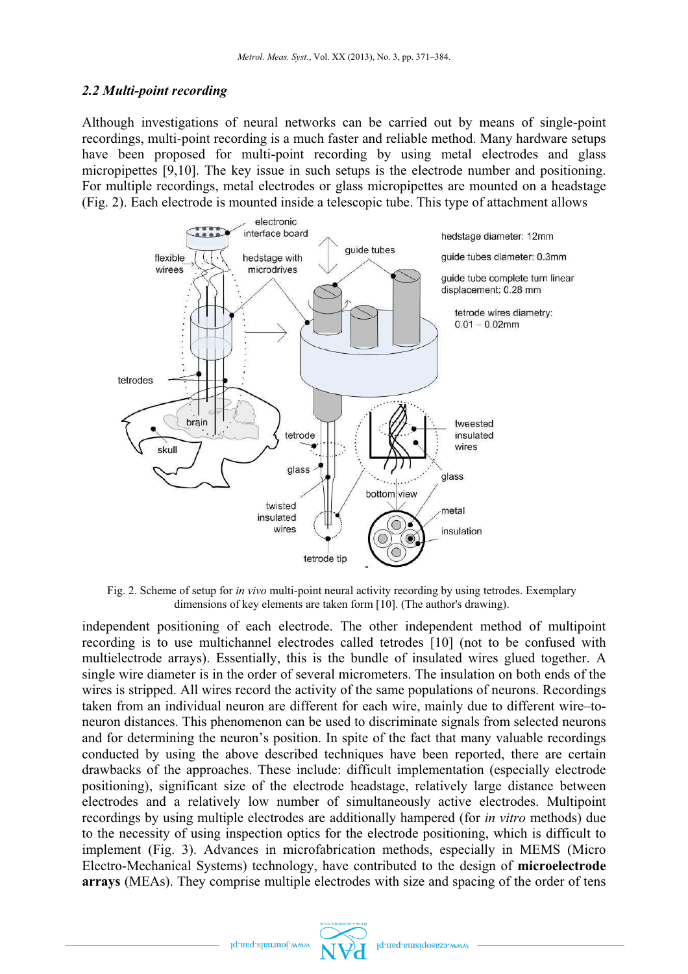### *2.2 Multi-point recording*

Although investigations of neural networks can be carried out by means of single-point recordings, multi-point recording is a much faster and reliable method. Many hardware setups have been proposed for multi-point recording by using metal electrodes and glass micropipettes [9,10]. The key issue in such setups is the electrode number and positioning. For multiple recordings, metal electrodes or glass micropipettes are mounted on a headstage (Fig. 2). Each electrode is mounted inside a telescopic tube. This type of attachment allows



Fig. 2. Scheme of setup for *in vivo* multi-point neural activity recording by using tetrodes. Exemplary dimensions of key elements are taken form [10]. (The author's drawing).

independent positioning of each electrode. The other independent method of multipoint recording is to use multichannel electrodes called tetrodes [10] (not to be confused with multielectrode arrays). Essentially, this is the bundle of insulated wires glued together. A single wire diameter is in the order of several micrometers. The insulation on both ends of the wires is stripped. All wires record the activity of the same populations of neurons. Recordings taken from an individual neuron are different for each wire, mainly due to different wire–toneuron distances. This phenomenon can be used to discriminate signals from selected neurons and for determining the neuron's position. In spite of the fact that many valuable recordings conducted by using the above described techniques have been reported, there are certain drawbacks of the approaches. These include: difficult implementation (especially electrode positioning), significant size of the electrode headstage, relatively large distance between electrodes and a relatively low number of simultaneously active electrodes. Multipoint recordings by using multiple electrodes are additionally hampered (for *in vitro* methods) due to the necessity of using inspection optics for the electrode positioning, which is difficult to implement (Fig. 3). Advances in microfabrication methods, especially in MEMS (Micro Electro-Mechanical Systems) technology, have contributed to the design of **microelectrode arrays** (MEAs). They comprise multiple electrodes with size and spacing of the order of tens

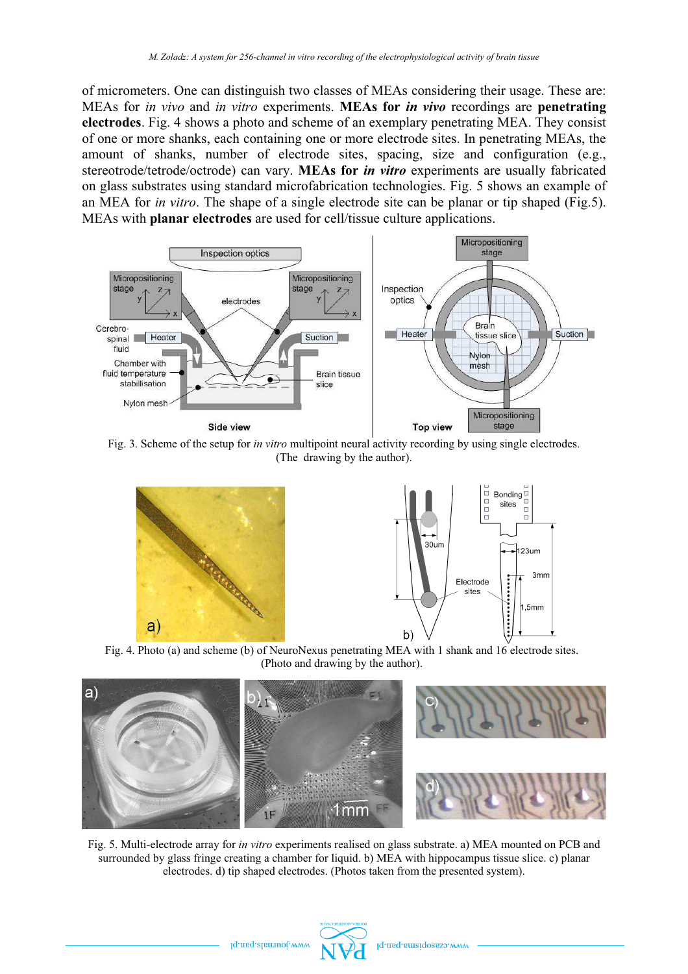of micrometers. One can distinguish two classes of MEAs considering their usage. These are: MEAs for *in vivo* and *in vitro* experiments. **MEAs for** *in vivo* recordings are **penetrating electrodes**. Fig. 4 shows a photo and scheme of an exemplary penetrating MEA. They consist of one or more shanks, each containing one or more electrode sites. In penetrating MEAs, the amount of shanks, number of electrode sites, spacing, size and configuration (e.g., stereotrode/tetrode/octrode) can vary. **MEAs for** *in vitro* experiments are usually fabricated on glass substrates using standard microfabrication technologies. Fig. 5 shows an example of an MEA for *in vitro*. The shape of a single electrode site can be planar or tip shaped (Fig.5). MEAs with **planar electrodes** are used for cell/tissue culture applications.



Fig. 3. Scheme of the setup for *in vitro* multipoint neural activity recording by using single electrodes. (The drawing by the author).



Fig. 4. Photo (a) and scheme (b) of NeuroNexus penetrating MEA with 1 shank and 16 electrode sites. (Photo and drawing by the author).



Fig. 5. Multi-electrode array for *in vitro* experiments realised on glass substrate. a) MEA mounted on PCB and surrounded by glass fringe creating a chamber for liquid. b) MEA with hippocampus tissue slice. c) planar electrodes. d) tip shaped electrodes. (Photos taken from the presented system).

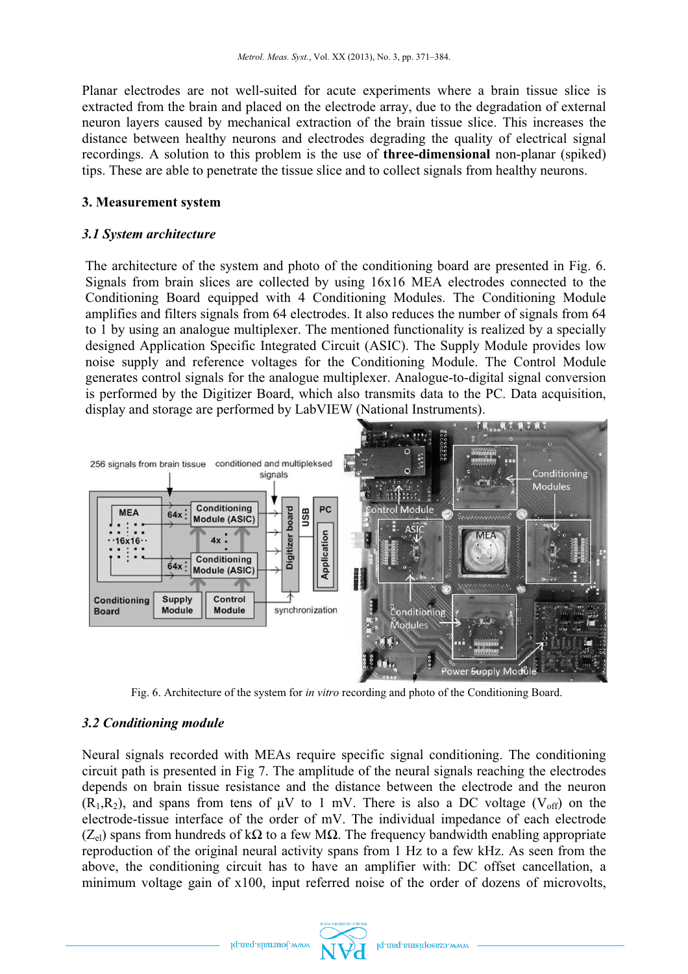Planar electrodes are not well-suited for acute experiments where a brain tissue slice is extracted from the brain and placed on the electrode array, due to the degradation of external neuron layers caused by mechanical extraction of the brain tissue slice. This increases the distance between healthy neurons and electrodes degrading the quality of electrical signal recordings. A solution to this problem is the use of **three-dimensional** non-planar (spiked) tips. These are able to penetrate the tissue slice and to collect signals from healthy neurons.

### **3. Measurement system**

### *3.1 System architecture*

The architecture of the system and photo of the conditioning board are presented in Fig. 6. Signals from brain slices are collected by using 16x16 MEA electrodes connected to the Conditioning Board equipped with 4 Conditioning Modules. The Conditioning Module amplifies and filters signals from 64 electrodes. It also reduces the number of signals from 64 to 1 by using an analogue multiplexer. The mentioned functionality is realized by a specially designed Application Specific Integrated Circuit (ASIC). The Supply Module provides low noise supply and reference voltages for the Conditioning Module. The Control Module generates control signals for the analogue multiplexer. Analogue-to-digital signal conversion is performed by the Digitizer Board, which also transmits data to the PC. Data acquisition, display and storage are performed by LabVIEW (National Instruments).



Fig. 6. Architecture of the system for *in vitro* recording and photo of the Conditioning Board.

# *3.2 Conditioning module*

Neural signals recorded with MEAs require specific signal conditioning. The conditioning circuit path is presented in Fig 7. The amplitude of the neural signals reaching the electrodes depends on brain tissue resistance and the distance between the electrode and the neuron  $(R_1,R_2)$ , and spans from tens of  $\mu V$  to 1 mV. There is also a DC voltage (V<sub>off</sub>) on the electrode-tissue interface of the order of mV. The individual impedance of each electrode ( $Z<sub>el</sub>$ ) spans from hundreds of kΩ to a few MΩ. The frequency bandwidth enabling appropriate reproduction of the original neural activity spans from 1 Hz to a few kHz. As seen from the above, the conditioning circuit has to have an amplifier with: DC offset cancellation, a minimum voltage gain of x100, input referred noise of the order of dozens of microvolts,

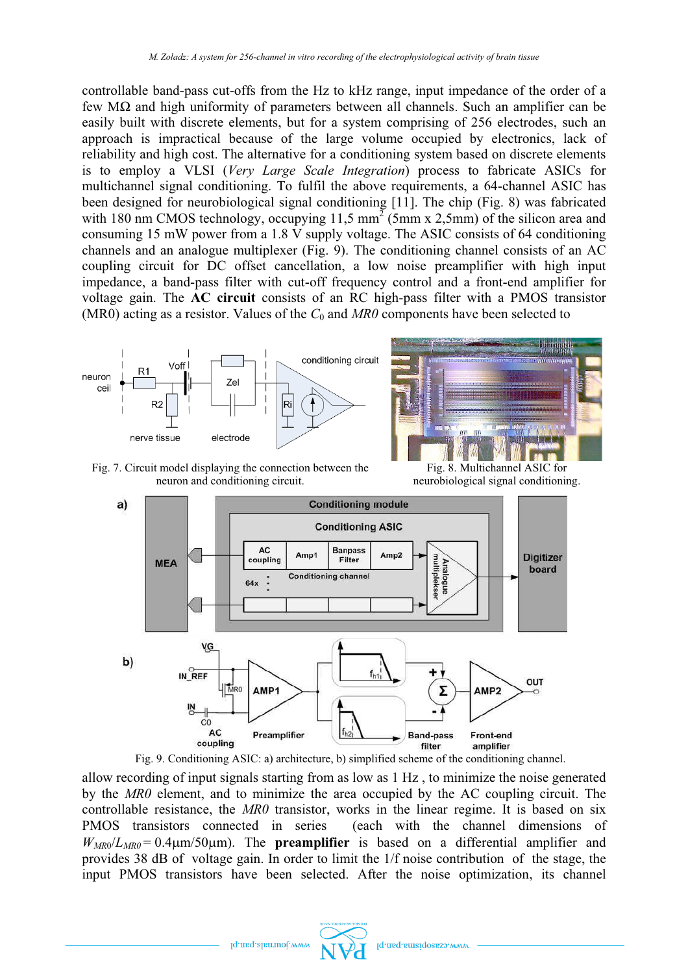controllable band-pass cut-offs from the Hz to kHz range, input impedance of the order of a few MΩ and high uniformity of parameters between all channels. Such an amplifier can be easily built with discrete elements, but for a system comprising of 256 electrodes, such an approach is impractical because of the large volume occupied by electronics, lack of reliability and high cost. The alternative for a conditioning system based on discrete elements is to employ a VLSI (*Very Large Scale Integration*) process to fabricate ASICs for multichannel signal conditioning. To fulfil the above requirements, a 64-channel ASIC has been designed for neurobiological signal conditioning [11]. The chip (Fig. 8) was fabricated with 180 nm CMOS technology, occupying 11,5 mm<sup>2</sup> (5mm x 2,5mm) of the silicon area and consuming 15 mW power from a 1.8 V supply voltage. The ASIC consists of 64 conditioning channels and an analogue multiplexer (Fig. 9). The conditioning channel consists of an AC coupling circuit for DC offset cancellation, a low noise preamplifier with high input impedance, a band-pass filter with cut-off frequency control and a front-end amplifier for voltage gain. The **AC circuit** consists of an RC high-pass filter with a PMOS transistor (MR0) acting as a resistor. Values of the  $C_0$  and  $MR0$  components have been selected to



Fig. 7. Circuit model displaying the connection between the neuron and conditioning circuit.

Fig. 8. Multichannel ASIC for neurobiological signal conditioning.



Fig. 9. Conditioning ASIC: a) architecture, b) simplified scheme of the conditioning channel.

allow recording of input signals starting from as low as 1 Hz , to minimize the noise generated by the *MR0* element, and to minimize the area occupied by the AC coupling circuit. The controllable resistance, the *MR0* transistor, works in the linear regime. It is based on six PMOS transistors connected in series (each with the channel dimensions of  $W_{MR0}/L_{MR0} = 0.4 \mu m/50 \mu m$ ). The **preamplifier** is based on a differential amplifier and provides 38 dB of voltage gain. In order to limit the 1/f noise contribution of the stage, the input PMOS transistors have been selected. After the noise optimization, its channel

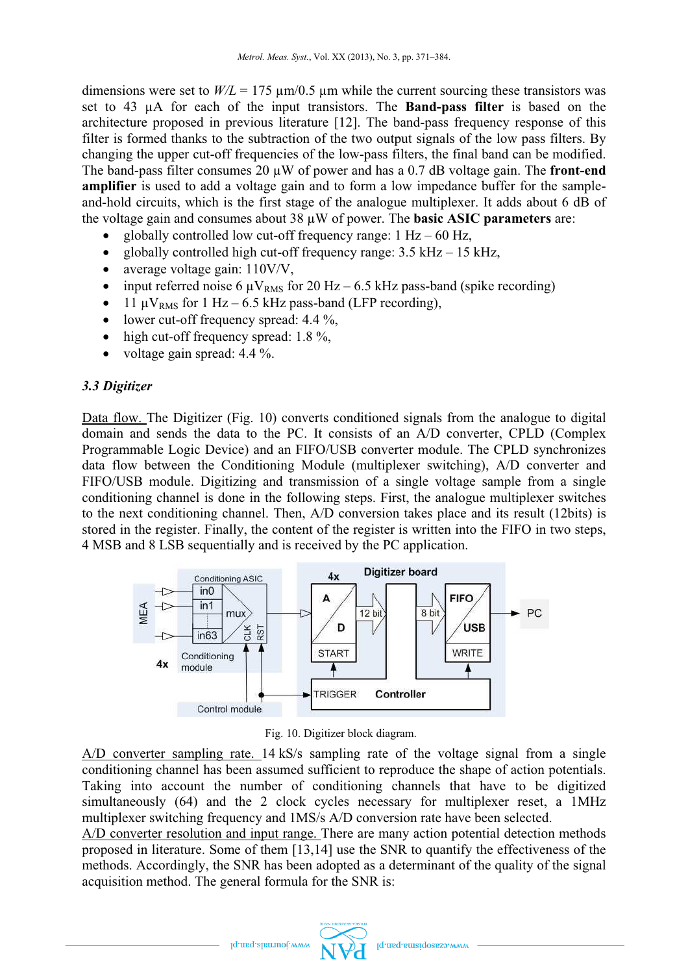dimensions were set to  $W/L = 175 \text{ }\mu\text{m}/0.5 \text{ }\mu\text{m}$  while the current sourcing these transistors was set to 43 µA for each of the input transistors. The **Band-pass filter** is based on the architecture proposed in previous literature [12]. The band-pass frequency response of this filter is formed thanks to the subtraction of the two output signals of the low pass filters. By changing the upper cut-off frequencies of the low-pass filters, the final band can be modified. The band-pass filter consumes 20 µW of power and has a 0.7 dB voltage gain. The **front-end amplifier** is used to add a voltage gain and to form a low impedance buffer for the sampleand-hold circuits, which is the first stage of the analogue multiplexer. It adds about 6 dB of the voltage gain and consumes about 38 µW of power. The **basic ASIC parameters** are:

- ·globally controlled low cut-off frequency range:  $1 Hz - 60 Hz$ ,
- ·globally controlled high cut-off frequency range:  $3.5 \text{ kHz} - 15 \text{ kHz}$ ,
- ·average voltage gain: 110V/V,
- input referred noise 6  $\mu$ V<sub>RMS</sub> for 20 Hz 6.5 kHz pass-band (spike recording)
- ·11  $\mu$ V<sub>RMS</sub> for 1 Hz – 6.5 kHz pass-band (LFP recording),
- lower cut-off frequency spread:  $4.4\%$ ,
- ·high cut-off frequency spread: 1.8 %,
- ·voltage gain spread: 4.4 %.

# *3.3 Digitizer*

Data flow. The Digitizer (Fig. 10) converts conditioned signals from the analogue to digital domain and sends the data to the PC. It consists of an A/D converter, CPLD (Complex Programmable Logic Device) and an FIFO/USB converter module. The CPLD synchronizes data flow between the Conditioning Module (multiplexer switching), A/D converter and FIFO/USB module. Digitizing and transmission of a single voltage sample from a single conditioning channel is done in the following steps. First, the analogue multiplexer switches to the next conditioning channel. Then, A/D conversion takes place and its result (12bits) is stored in the register. Finally, the content of the register is written into the FIFO in two steps, 4 MSB and 8 LSB sequentially and is received by the PC application.



Fig. 10. Digitizer block diagram.

A/D converter sampling rate. 14 kS/s sampling rate of the voltage signal from a single conditioning channel has been assumed sufficient to reproduce the shape of action potentials. Taking into account the number of conditioning channels that have to be digitized simultaneously (64) and the 2 clock cycles necessary for multiplexer reset, a 1MHz multiplexer switching frequency and 1MS/s A/D conversion rate have been selected.

A/D converter resolution and input range. There are many action potential detection methods proposed in literature. Some of them [13,14] use the SNR to quantify the effectiveness of the methods. Accordingly, the SNR has been adopted as a determinant of the quality of the signal acquisition method. The general formula for the SNR is:

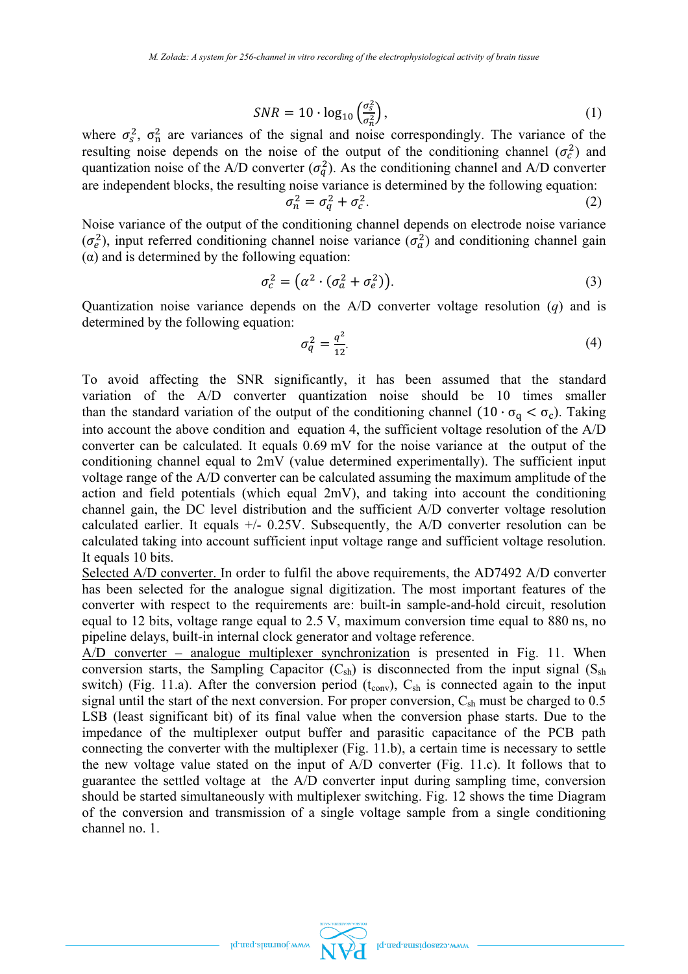$$
SNR = 10 \cdot \log_{10} \left( \frac{\sigma_s^2}{\sigma_n^2} \right),\tag{1}
$$

where  $\sigma_s^2$ ,  $\sigma_{\rm n}^2$  are variances of the signal and noise correspondingly. The variance of the resulting noise depends on the noise of the output of the conditioning channel  $(\sigma_c^2)$  and quantization noise of the A/D converter  $(\sigma_q^2)$ . As the conditioning channel and A/D converter are independent blocks, the resulting noise variance is determined by the following equation: -2

$$
\sigma_n^2 = \sigma_q^2 + \sigma_c^2. \tag{2}
$$

Noise variance of the output of the conditioning channel depends on electrode noise variance  $(\sigma_e^2)$ , input referred conditioning channel noise variance  $(\sigma_a^2)$  and conditioning channel gain  $(\alpha)$  and is determined by the following equation:

$$
\sigma_c^2 = \left(\alpha^2 \cdot (\sigma_a^2 + \sigma_e^2)\right). \tag{3}
$$

Quantization noise variance depends on the A/D converter voltage resolution (*q*) and is determined by the following equation:

$$
\sigma_q^2 = \frac{q^2}{12}.\tag{4}
$$

To avoid affecting the SNR significantly, it has been assumed that the standard variation of the A/D converter quantization noise should be 10 times smaller than the standard variation of the output of the conditioning channel  $(10 \cdot \sigma_q < \sigma_c)$ . Taking into account the above condition and equation 4, the sufficient voltage resolution of the A/D converter can be calculated. It equals 0.69 mV for the noise variance at the output of the conditioning channel equal to 2mV (value determined experimentally). The sufficient input voltage range of the A/D converter can be calculated assuming the maximum amplitude of the action and field potentials (which equal 2mV), and taking into account the conditioning channel gain, the DC level distribution and the sufficient A/D converter voltage resolution calculated earlier. It equals +/- 0.25V. Subsequently, the A/D converter resolution can be calculated taking into account sufficient input voltage range and sufficient voltage resolution. It equals 10 bits.

Selected A/D converter. In order to fulfil the above requirements, the AD7492 A/D converter has been selected for the analogue signal digitization. The most important features of the converter with respect to the requirements are: built-in sample-and-hold circuit, resolution equal to 12 bits, voltage range equal to 2.5 V, maximum conversion time equal to 880 ns, no pipeline delays, built-in internal clock generator and voltage reference.

A/D converter – analogue multiplexer synchronization is presented in Fig. 11. When conversion starts, the Sampling Capacitor  $(C_{sh})$  is disconnected from the input signal  $(S_{sh})$ switch) (Fig. 11.a). After the conversion period ( $t_{\text{conv}}$ ),  $C_{\text{sh}}$  is connected again to the input signal until the start of the next conversion. For proper conversion,  $C_{sh}$  must be charged to 0.5 LSB (least significant bit) of its final value when the conversion phase starts. Due to the impedance of the multiplexer output buffer and parasitic capacitance of the PCB path connecting the converter with the multiplexer (Fig. 11.b), a certain time is necessary to settle the new voltage value stated on the input of A/D converter (Fig. 11.c). It follows that to guarantee the settled voltage at the A/D converter input during sampling time, conversion should be started simultaneously with multiplexer switching. Fig. 12 shows the time Diagram of the conversion and transmission of a single voltage sample from a single conditioning channel no. 1.



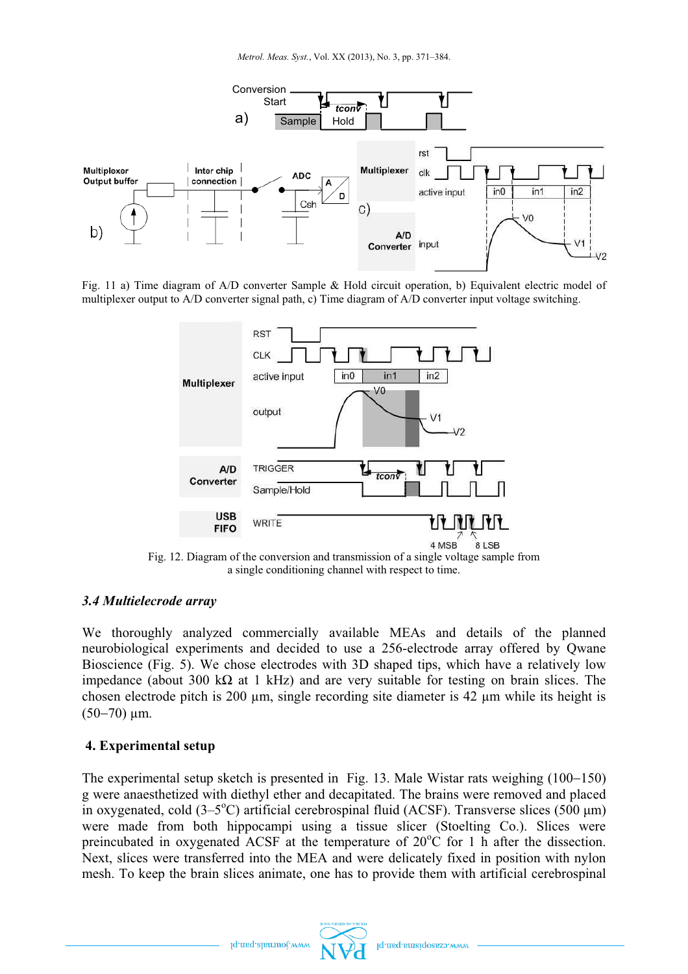

Fig. 11 a) Time diagram of A/D converter Sample & Hold circuit operation, b) Equivalent electric model of multiplexer output to A/D converter signal path, c) Time diagram of A/D converter input voltage switching.



Fig. 12. Diagram of the conversion and transmission of a single voltage sample from a single conditioning channel with respect to time.

# *3.4 Multielecrode array*

We thoroughly analyzed commercially available MEAs and details of the planned neurobiological experiments and decided to use a 256-electrode array offered by Qwane Bioscience (Fig. 5). We chose electrodes with 3D shaped tips, which have a relatively low impedance (about 300 kΩ at 1 kHz) and are very suitable for testing on brain slices. The chosen electrode pitch is 200 µm, single recording site diameter is 42 µm while its height is  $(50-70)$  um.

# **4. Experimental setup**

The experimental setup sketch is presented in Fig. 13. Male Wistar rats weighing (100-150) g were anaesthetized with diethyl ether and decapitated. The brains were removed and placed in oxygenated, cold  $(3-5^{\circ}C)$  artificial cerebrospinal fluid (ACSF). Transverse slices (500  $\mu$ m) were made from both hippocampi using a tissue slicer (Stoelting Co.). Slices were preincubated in oxygenated ACSF at the temperature of  $20^{\circ}$ C for 1 h after the dissection. Next, slices were transferred into the MEA and were delicately fixed in position with nylon mesh. To keep the brain slices animate, one has to provide them with artificial cerebrospinal

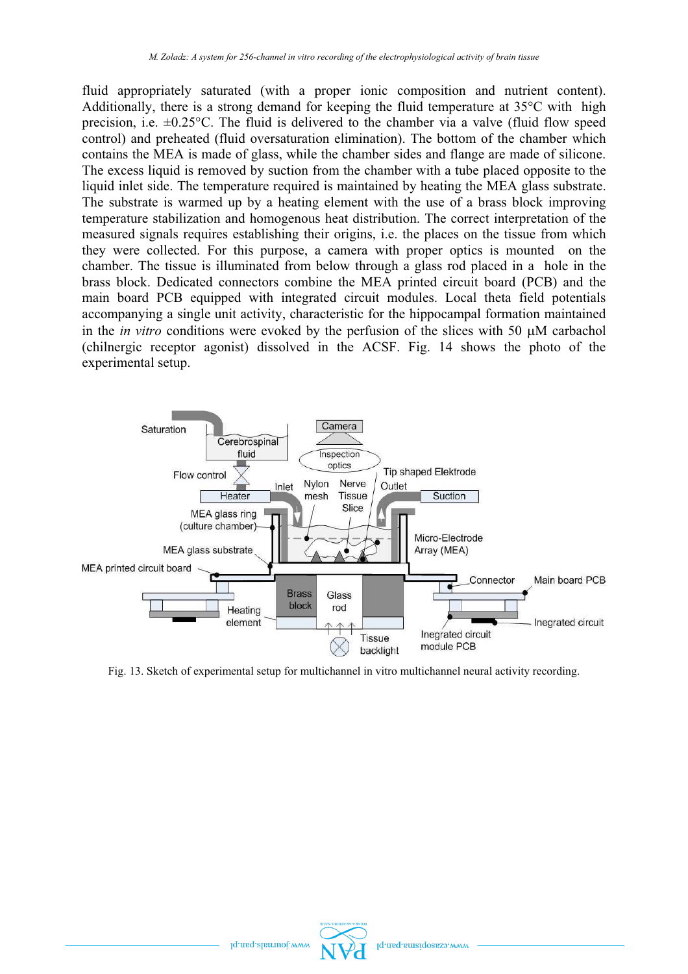fluid appropriately saturated (with a proper ionic composition and nutrient content). Additionally, there is a strong demand for keeping the fluid temperature at  $35^{\circ}$ C with high precision, i.e.  $\pm 0.25^{\circ}$ C. The fluid is delivered to the chamber via a valve (fluid flow speed control) and preheated (fluid oversaturation elimination). The bottom of the chamber which contains the MEA is made of glass, while the chamber sides and flange are made of silicone. The excess liquid is removed by suction from the chamber with a tube placed opposite to the liquid inlet side. The temperature required is maintained by heating the MEA glass substrate. The substrate is warmed up by a heating element with the use of a brass block improving temperature stabilization and homogenous heat distribution. The correct interpretation of the measured signals requires establishing their origins, i.e. the places on the tissue from which they were collected. For this purpose, a camera with proper optics is mounted on the chamber. The tissue is illuminated from below through a glass rod placed in a hole in the brass block. Dedicated connectors combine the MEA printed circuit board (PCB) and the main board PCB equipped with integrated circuit modules. Local theta field potentials accompanying a single unit activity, characteristic for the hippocampal formation maintained in the *in vitro* conditions were evoked by the perfusion of the slices with 50  $\mu$ M carbachol (chilnergic receptor agonist) dissolved in the ACSF. Fig. 14 shows the photo of the experimental setup.



Fig. 13. Sketch of experimental setup for multichannel in vitro multichannel neural activity recording.



Iq.maq.alamot.v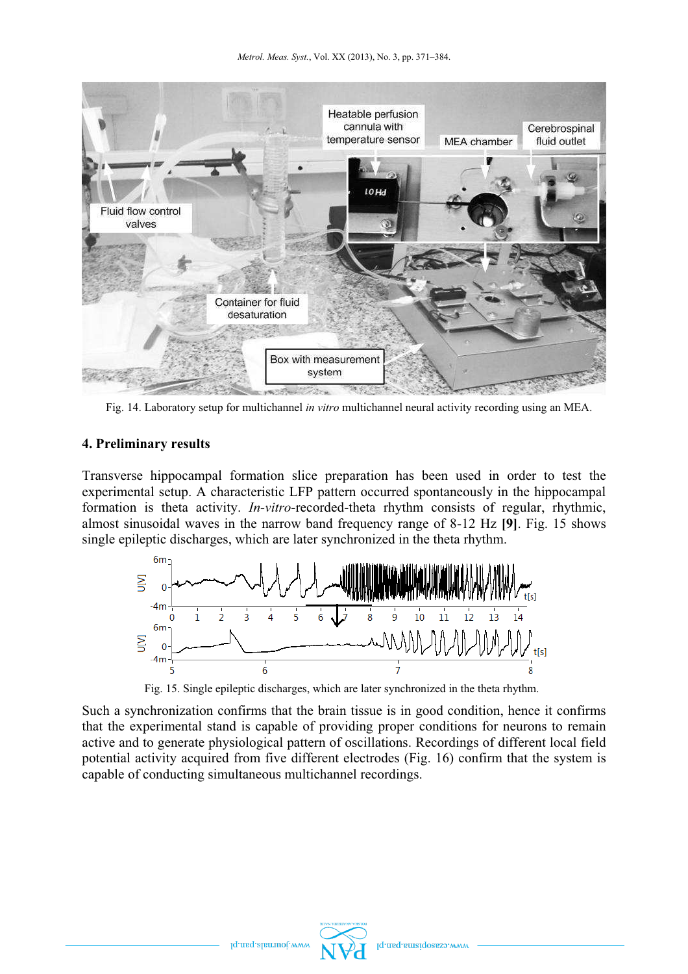

Fig. 14. Laboratory setup for multichannel *in vitro* multichannel neural activity recording using an MEA.

### **4. Preliminary results**

Transverse hippocampal formation slice preparation has been used in order to test the experimental setup. A characteristic LFP pattern occurred spontaneously in the hippocampal formation is theta activity. *In-vitro*-recorded-theta rhythm consists of regular, rhythmic, almost sinusoidal waves in the narrow band frequency range of 8-12 Hz **[9]**. Fig. 15 shows single epileptic discharges, which are later synchronized in the theta rhythm.



Fig. 15. Single epileptic discharges, which are later synchronized in the theta rhythm.

Such a synchronization confirms that the brain tissue is in good condition, hence it confirms that the experimental stand is capable of providing proper conditions for neurons to remain active and to generate physiological pattern of oscillations. Recordings of different local field potential activity acquired from five different electrodes (Fig. 16) confirm that the system is capable of conducting simultaneous multichannel recordings.



Iq.maq.alamot.w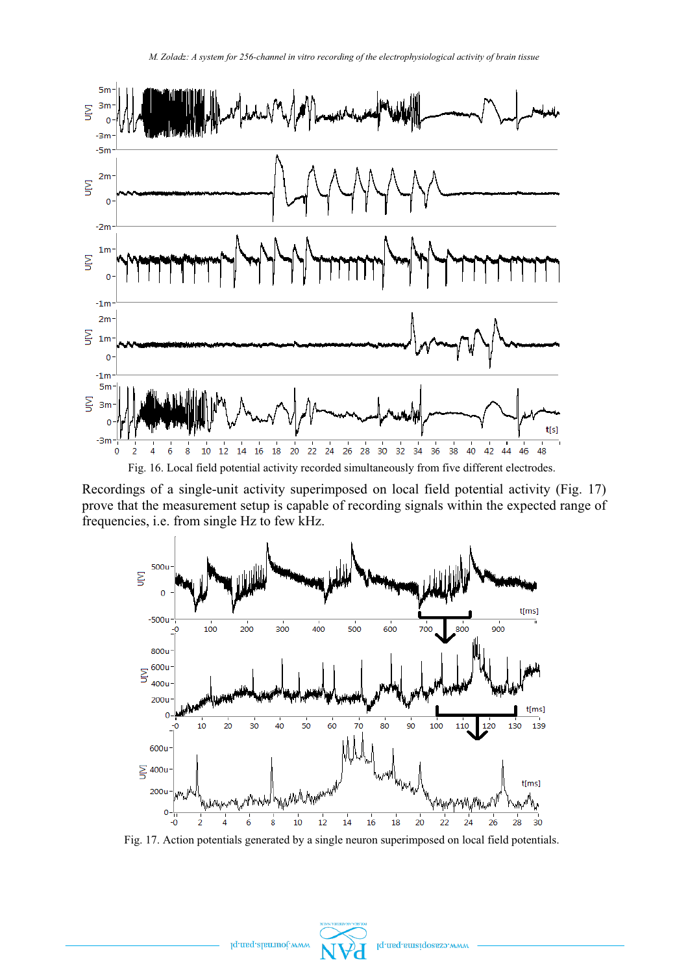

Recordings of a single-unit activity superimposed on local field potential activity (Fig. 17) prove that the measurement setup is capable of recording signals within the expected range of frequencies, i.e. from single Hz to few kHz.



Fig. 17. Action potentials generated by a single neuron superimposed on local field potentials.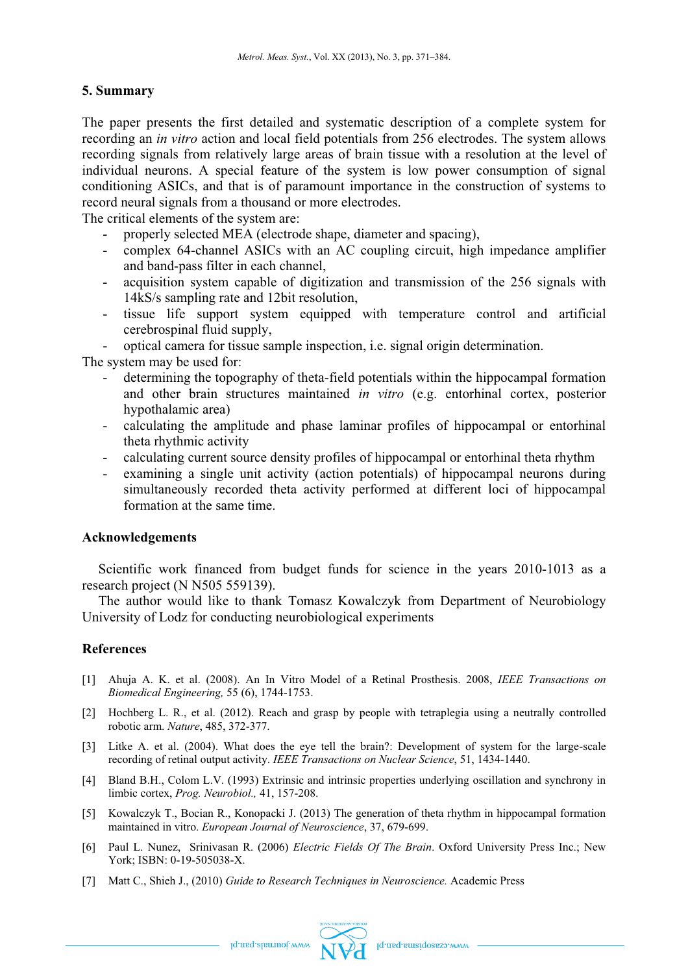### **5. Summary**

The paper presents the first detailed and systematic description of a complete system for recording an *in vitro* action and local field potentials from 256 electrodes. The system allows recording signals from relatively large areas of brain tissue with a resolution at the level of individual neurons. A special feature of the system is low power consumption of signal conditioning ASICs, and that is of paramount importance in the construction of systems to record neural signals from a thousand or more electrodes.

The critical elements of the system are:

- properly selected MEA (electrode shape, diameter and spacing),
- complex 64-channel ASICs with an AC coupling circuit, high impedance amplifier and band-pass filter in each channel,
- acquisition system capable of digitization and transmission of the 256 signals with 14kS/s sampling rate and 12bit resolution,
- tissue life support system equipped with temperature control and artificial cerebrospinal fluid supply,

optical camera for tissue sample inspection, i.e. signal origin determination.

The system may be used for:

- determining the topography of theta-field potentials within the hippocampal formation and other brain structures maintained *in vitro* (e.g. entorhinal cortex, posterior hypothalamic area)
- calculating the amplitude and phase laminar profiles of hippocampal or entorhinal theta rhythmic activity
- calculating current source density profiles of hippocampal or entorhinal theta rhythm
- examining a single unit activity (action potentials) of hippocampal neurons during simultaneously recorded theta activity performed at different loci of hippocampal formation at the same time.

#### **Acknowledgements**

Scientific work financed from budget funds for science in the years 2010-1013 as a research project (N N505 559139).

The author would like to thank Tomasz Kowalczyk from Department of Neurobiology University of Lodz for conducting neurobiological experiments

# **References**

- [1] Ahuja A. K. et al. (2008). An In Vitro Model of a Retinal Prosthesis. 2008, *IEEE Transactions on Biomedical Engineering,* 55 (6), 1744-1753.
- [2] Hochberg L. R., et al. (2012). Reach and grasp by people with tetraplegia using a neutrally controlled robotic arm. *Nature*, 485, 372-377.
- [3] Litke A. et al. (2004). What does the eye tell the brain?: Development of system for the large-scale recording of retinal output activity. *IEEE Transactions on Nuclear Science*, 51, 1434-1440.
- [4] Bland B.H., Colom L.V. (1993) Extrinsic and intrinsic properties underlying oscillation and synchrony in limbic cortex, *Prog. Neurobiol.,* 41, 157-208.
- [5] Kowalczyk T., Bocian R., Konopacki J. (2013) The generation of theta rhythm in hippocampal formation maintained in vitro. *European Journal of Neuroscience*, 37, 679-699.
- [6] Paul L. Nunez, Srinivasan R. (2006) *Electric Fields Of The Brain*. Oxford University Press Inc.; New York; ISBN: 0-19-505038-X.
- [7] Matt C., Shieh J., (2010) *Guide to Research Techniques in Neuroscience.* Academic Press